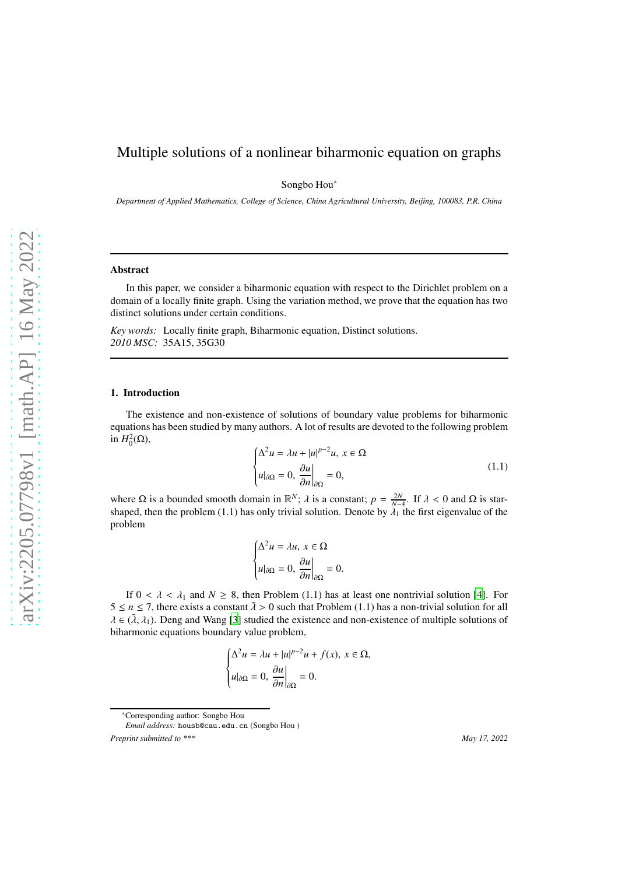# Multiple solutions of a nonlinear biharmonic equation on graphs

Songbo Hou∗

*Department of Applied Mathematics, College of Science, China Agricultural University, Beijing, 100083, P.R. China*

### Abstract

In this paper, we consider a biharmonic equation with respect to the Dirichlet problem on a domain of a locally finite graph. Using the variation method, we prove that the equation has two distinct solutions under certain conditions.

*Key words:* Locally finite graph, Biharmonic equation, Distinct solutions. *2010 MSC:* 35A15, 35G30

#### 1. Introduction

The existence and non-existence of solutions of boundary value problems for biharmonic equations has been studied by many authors. A lot of results are devoted to the following problem in  $H_0^2(\Omega)$ ,

$$
\begin{cases} \Delta^2 u = \lambda u + |u|^{p-2} u, \ x \in \Omega \\ u|_{\partial \Omega} = 0, \ \frac{\partial u}{\partial n}\Big|_{\partial \Omega} = 0, \end{cases}
$$
 (1.1)

where  $\Omega$  is a bounded smooth domain in  $\mathbb{R}^N$ ;  $\lambda$  is a constant;  $p = \frac{2N}{N-4}$ . If  $\lambda < 0$  and  $\Omega$  is starshaped, then the problem (1.1) has only trivial solution. Denote by  $\lambda_1$  the first eigenvalue of the problem

$$
\begin{cases} \Delta^2 u = \lambda u, \ x \in \Omega \\ u|_{\partial \Omega} = 0, \ \frac{\partial u}{\partial n}\Big|_{\partial \Omega} = 0. \end{cases}
$$

If  $0 < \lambda < \lambda_1$  and  $N \ge 8$ , then Problem (1.1) has at least one nontrivial solution [\[4](#page-6-0)]. For  $5 \le n \le 7$ , there exists a constant  $\overline{\lambda} > 0$  such that Problem (1.1) has a non-trivial solution for all  $\lambda \in (\bar{\lambda}, \lambda_1)$ . Deng and Wang [\[3](#page-6-1)] studied the existence and non-existence of multiple solutions of biharmonic equations boundary value problem,

$$
\begin{cases} \Delta^2 u = \lambda u + |u|^{p-2}u + f(x), \ x \in \Omega, \\ u|_{\partial\Omega} = 0, \ \frac{\partial u}{\partial n}\Big|_{\partial\Omega} = 0. \end{cases}
$$

<sup>∗</sup>Corresponding author: Songbo Hou

*Email address:* housb@cau.edu.cn (Songbo Hou ) *Preprint submitted to \*\*\* May 17, 2022*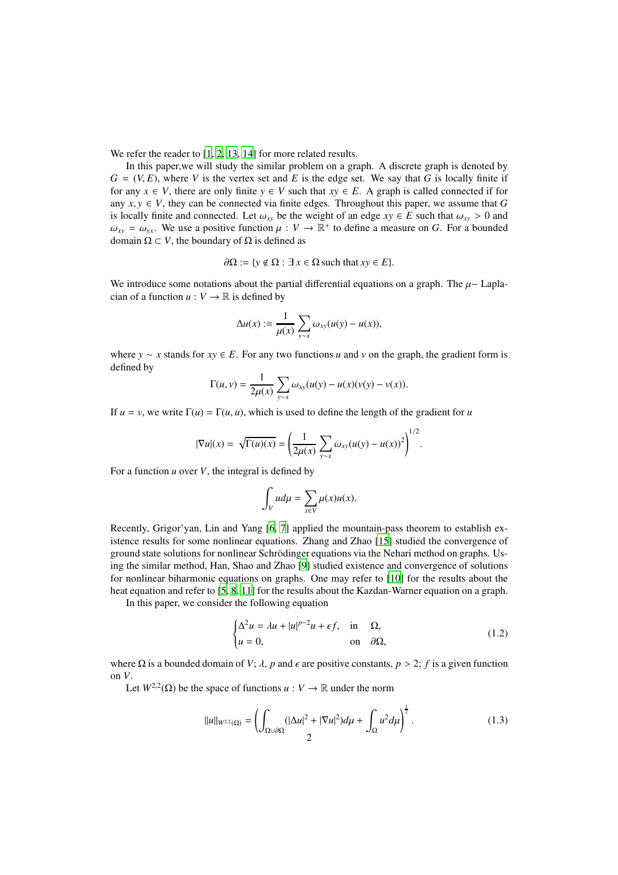We refer the reader to [\[1,](#page-6-2) [2,](#page-6-3) [13,](#page-6-4) [14\]](#page-6-5) for more related results.

In this paper,we will study the similar problem on a graph. A discrete graph is denoted by  $G = (V, E)$ , where *V* is the vertex set and *E* is the edge set. We say that *G* is locally finite if for any  $x \in V$ , there are only finite  $y \in V$  such that  $xy \in E$ . A graph is called connected if for any  $x, y \in V$ , they can be connected via finite edges. Throughout this paper, we assume that *G* is locally finite and connected. Let  $\omega_{xy}$  be the weight of an edge  $xy \in E$  such that  $\omega_{xy} > 0$  and  $\omega_{xy} = \omega_{yx}$ . We use a positive function  $\mu : V \to \mathbb{R}^+$  to define a measure on *G*. For a bounded domain  $\Omega \subset V$ , the boundary of  $\Omega$  is defined as

$$
\partial\Omega := \{ y \notin \Omega : \exists x \in \Omega \text{ such that } xy \in E \}.
$$

We introduce some notations about the partial differential equations on a graph. The  $\mu$ - Laplacian of a function  $u: V \to \mathbb{R}$  is defined by

$$
\Delta u(x) := \frac{1}{\mu(x)} \sum_{y \sim x} \omega_{xy}(u(y) - u(x)),
$$

where *y* ∼ *x* stands for *xy* ∈ *E*. For any two functions *u* and *v* on the graph, the gradient form is defined by

$$
\Gamma(u, v) = \frac{1}{2\mu(x)} \sum_{y \sim x} \omega_{xy}(u(y) - u(x)(v(y) - v(x))).
$$

If  $u = v$ , we write  $\Gamma(u) = \Gamma(u, u)$ , which is used to define the length of the gradient for *u* 

$$
|\nabla u|(x) = \sqrt{\Gamma(u)(x)} = \left(\frac{1}{2\mu(x)}\sum_{y \sim x} \omega_{xy}(u(y) - u(x))^2\right)^{1/2}.
$$

For a function *u* over *V*, the integral is defined by

$$
\int_V u d\mu = \sum_{x \in V} \mu(x) u(x).
$$

Recently, Grigor'yan, Lin and Yang [\[6](#page-6-6), [7](#page-6-7)] applied the mountain-pass theorem to establish existence results for some nonlinear equations. Zhang and Zhao [\[15\]](#page-6-8) studied the convergence of ground state solutions for nonlinear Schrödinger equations via the Nehari method on graphs. Using the similar method, Han, Shao and Zhao [\[9](#page-6-9)] studied existence and convergence of solutions for nonlinear biharmonic equations on graphs. One may refer to [\[10\]](#page-6-10) for the results about the heat equation and refer to [\[5,](#page-6-11) [8,](#page-6-12) [11](#page-6-13)] for the results about the Kazdan-Warner equation on a graph.

In this paper, we consider the following equation

<span id="page-1-1"></span>
$$
\begin{cases} \Delta^2 u = \lambda u + |u|^{p-2} u + \epsilon f, & \text{in } \Omega, \\ u = 0, & \text{on } \partial \Omega, \end{cases}
$$
 (1.2)

where  $\Omega$  is a bounded domain of *V*;  $\lambda$ , *p* and  $\epsilon$  are positive constants,  $p > 2$ ; *f* is a given function on *V*.

Let  $W^{2,2}(\Omega)$  be the space of functions  $u: V \to \mathbb{R}$  under the norm

<span id="page-1-0"></span>
$$
||u||_{W^{2,2}(\Omega)} = \left(\int_{\Omega \cup \partial \Omega} (|\Delta u|^2 + |\nabla u|^2) d\mu + \int_{\Omega} u^2 d\mu\right)^{\frac{1}{2}}.
$$
 (1.3)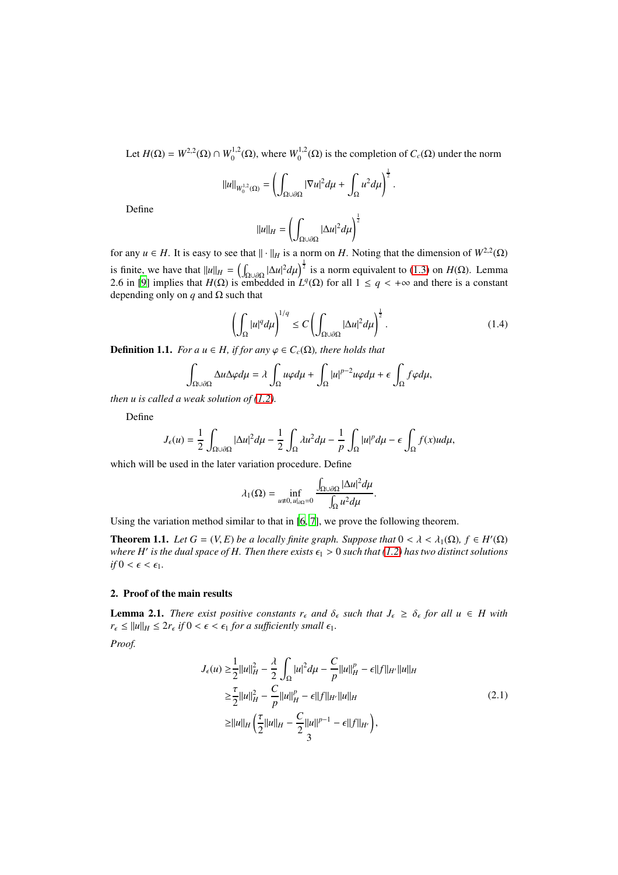Let  $H(\Omega) = W^{2,2}(\Omega) \cap W_0^{1,2}(\Omega)$ , where  $W_0^{1,2}(\Omega)$  is the completion of  $C_c(\Omega)$  under the norm

$$
||u||_{W_0^{1,2}(\Omega)} = \left(\int_{\Omega \cup \partial \Omega} |\nabla u|^2 d\mu + \int_{\Omega} u^2 d\mu\right)^{\frac{1}{2}}.
$$

Define

$$
||u||_H = \left(\int_{\Omega \cup \partial \Omega} |\Delta u|^2 d\mu\right)^{\frac{1}{2}}
$$

for any  $u \in H$ . It is easy to see that  $|| \cdot ||_H$  is a norm on *H*. Noting that the dimension of  $W^{2,2}(\Omega)$ is finite, we have that  $||u||_H = \left(\int_{\Omega \cup \partial \Omega} |\Delta u|^2 d\mu\right)^{\frac{1}{2}}$  is a norm equivalent to [\(1.3\)](#page-1-0) on *H*( $\Omega$ ). Lemma 2.6 in [\[9\]](#page-6-9) implies that  $H(\Omega)$  is embedded in  $L^q(\Omega)$  for all  $1 \leq q < +\infty$  and there is a constant depending only on *q* and  $\Omega$  such that

$$
\left(\int_{\Omega} |u|^q d\mu\right)^{1/q} \le C \left(\int_{\Omega \cup \partial \Omega} |\Delta u|^2 d\mu\right)^{\frac{1}{2}}.
$$
\n(1.4)

**Definition 1.1.** *For a u*  $\in$  *H*, *if for any*  $\varphi \in C_c(\Omega)$ *, there holds that* 

$$
\int_{\Omega \cup \partial \Omega} \Delta u \Delta \varphi d\mu = \lambda \int_{\Omega} u \varphi d\mu + \int_{\Omega} |u|^{p-2} u \varphi d\mu + \epsilon \int_{\Omega} f \varphi d\mu,
$$

*then u is called a weak solution of [\(1.2\)](#page-1-1).*

Define

$$
J_{\epsilon}(u) = \frac{1}{2} \int_{\Omega \cup \partial \Omega} |\Delta u|^2 d\mu - \frac{1}{2} \int_{\Omega} \lambda u^2 d\mu - \frac{1}{p} \int_{\Omega} |u|^p d\mu - \epsilon \int_{\Omega} f(x) u d\mu,
$$

which will be used in the later variation procedure. Define

$$
\lambda_1(\Omega)=\inf_{u\neq 0, u|_{\partial\Omega}=0}\frac{\int_{\Omega\cup\partial\Omega}|\Delta u|^2d\mu}{\int_{\Omega}u^2d\mu}.
$$

Using the variation method similar to that in [\[6,](#page-6-6) [7\]](#page-6-7), we prove the following theorem.

**Theorem 1.1.** *Let*  $G = (V, E)$  *be a locally finite graph. Suppose that*  $0 < \lambda < \lambda_1(\Omega)$ ,  $f \in H'(\Omega)$ where  $H'$  is the dual space of  $H.$  Then there exists  $\epsilon_{\rm l} > 0$  such that [\(1.2\)](#page-1-1) has two distinct solutions *if*  $0 < \epsilon < \epsilon_1$ *.* 

# 2. Proof of the main results

**Lemma 2.1.** *There exist positive constants*  $r_{\epsilon}$  *and*  $\delta_{\epsilon}$  *such that*  $J_{\epsilon} \geq \delta_{\epsilon}$  *for all*  $u \in H$  *with*  $r_{\epsilon} \le ||u||_H \le 2r_{\epsilon}$  *if*  $0 < \epsilon < \epsilon_1$  *for a sufficiently small*  $\epsilon_1$ *.* 

<span id="page-2-0"></span>*Proof.*

$$
J_{\epsilon}(u) \ge \frac{1}{2} ||u||_{H}^{2} - \frac{\lambda}{2} \int_{\Omega} |u|^{2} d\mu - \frac{C}{p} ||u||_{H}^{p} - \epsilon ||f||_{H'} ||u||_{H}
$$
  
\n
$$
\ge \frac{\tau}{2} ||u||_{H}^{2} - \frac{C}{p} ||u||_{H}^{p} - \epsilon ||f||_{H'} ||u||_{H}
$$
  
\n
$$
\ge ||u||_{H} \left(\frac{\tau}{2} ||u||_{H} - \frac{C}{2} ||u||^{p-1} - \epsilon ||f||_{H'}\right),
$$
\n(2.1)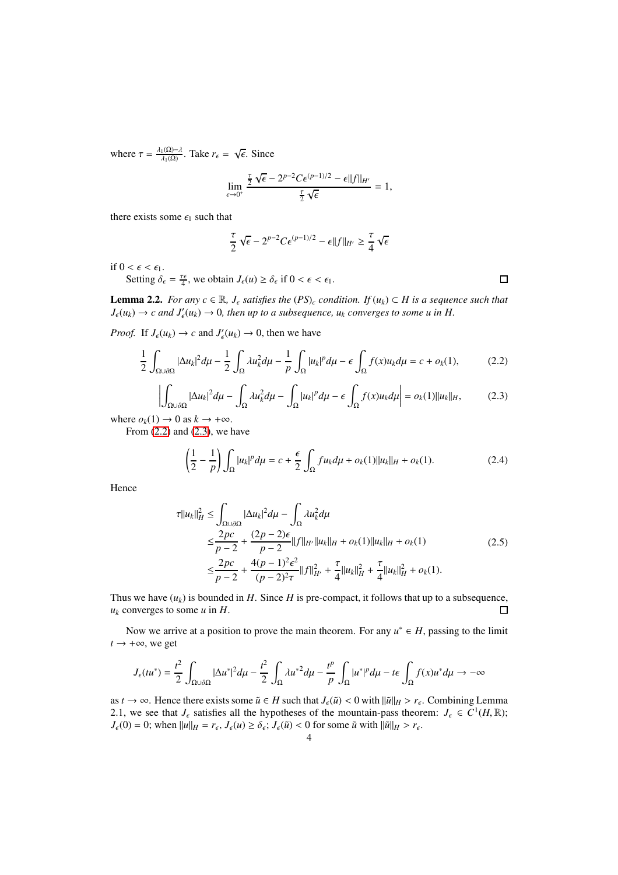where  $\tau = \frac{\lambda_1(\Omega) - \lambda}{\lambda_1(\Omega)}$ . Take  $r_{\epsilon} = \sqrt{\epsilon}$ . Since

$$
\lim_{\epsilon \to 0^+} \frac{\frac{\tau}{2} \sqrt{\epsilon} - 2^{p-2} C \epsilon^{(p-1)/2} - \epsilon ||f||_{H'}}{\frac{\tau}{2} \sqrt{\epsilon}} = 1,
$$

there exists some  $\epsilon_1$  such that

$$
\frac{\tau}{2}\sqrt{\epsilon}-2^{p-2}C\epsilon^{(p-1)/2}-\epsilon||f||_{H'}\geq \frac{\tau}{4}\sqrt{\epsilon}
$$

if  $0 < \epsilon < \epsilon_1$ .

Setting  $\delta_{\epsilon} = \frac{\tau \epsilon}{4}$ , we obtain  $J_{\epsilon}(u) \ge \delta_{\epsilon}$  if  $0 < \epsilon < \epsilon_1$ .

**Lemma 2.2.** *For any c* ∈ ℝ, *J*<sub> $ε$ </sub> *satisfies the* (*PS*)*<sub>c</sub> condition. If* (*u*<sub>*k*</sub>) ⊂ *H is a sequence such that*  $J_{\epsilon}(u_k) \to c$  and  $J'_{\epsilon}(u_k) \to 0$ , then up to a subsequence,  $u_k$  converges to some u in H.

*Proof.* If  $J_{\epsilon}(u_k) \to c$  and  $J'_{\epsilon}(u_k) \to 0$ , then we have

<span id="page-3-0"></span>
$$
\frac{1}{2} \int_{\Omega \cup \partial \Omega} |\Delta u_k|^2 d\mu - \frac{1}{2} \int_{\Omega} \lambda u_k^2 d\mu - \frac{1}{p} \int_{\Omega} |u_k|^p d\mu - \epsilon \int_{\Omega} f(x) u_k d\mu = c + o_k(1), \tag{2.2}
$$

<span id="page-3-1"></span>
$$
\left| \int_{\Omega \cup \partial \Omega} |\Delta u_k|^2 d\mu - \int_{\Omega} \lambda u_k^2 d\mu - \int_{\Omega} |u_k|^p d\mu - \epsilon \int_{\Omega} f(x) u_k d\mu \right| = o_k(1) ||u_k||_H,
$$
 (2.3)

where  $o_k(1) \rightarrow 0$  as  $k \rightarrow +\infty$ .

From  $(2.2)$  and  $(2.3)$ , we have

$$
\left(\frac{1}{2} - \frac{1}{p}\right) \int_{\Omega} |u_k|^p d\mu = c + \frac{\epsilon}{2} \int_{\Omega} fu_k d\mu + o_k(1) ||u_k||_H + o_k(1). \tag{2.4}
$$

Hence

$$
\tau ||u_{k}||_{H}^{2} \leq \int_{\Omega \cup \partial \Omega} |\Delta u_{k}|^{2} d\mu - \int_{\Omega} \lambda u_{k}^{2} d\mu
$$
  
\n
$$
\leq \frac{2pc}{p-2} + \frac{(2p-2)\epsilon}{p-2} ||f||_{H'} ||u_{k}||_{H} + o_{k}(1) ||u_{k}||_{H} + o_{k}(1)
$$
  
\n
$$
\leq \frac{2pc}{p-2} + \frac{4(p-1)^{2}\epsilon^{2}}{(p-2)^{2}\tau} ||f||_{H'}^{2} + \frac{\tau}{4} ||u_{k}||_{H}^{2} + \frac{\tau}{4} ||u_{k}||_{H}^{2} + o_{k}(1).
$$
\n(2.5)

Thus we have  $(u_k)$  is bounded in *H*. Since *H* is pre-compact, it follows that up to a subsequence,  $u_k$  converges to some  $u$  in  $H$ .  $\Box$ 

Now we arrive at a position to prove the main theorem. For any  $u^* \in H$ , passing to the limit  $t \rightarrow +\infty$ , we get

$$
J_{\epsilon}(tu^*) = \frac{t^2}{2} \int_{\Omega \cup \partial \Omega} |\Delta u^*|^2 d\mu - \frac{t^2}{2} \int_{\Omega} \lambda u^{*2} d\mu - \frac{t^p}{p} \int_{\Omega} |u^*|^p d\mu - t \epsilon \int_{\Omega} f(x) u^* d\mu \to -\infty
$$

as *t*  $\rightarrow \infty$ . Hence there exists some  $\tilde{u} \in H$  such that  $J_{\epsilon}(\tilde{u}) < 0$  with  $\|\tilde{u}\|_{H} > r_{\epsilon}$ . Combining Lemma 2.1, we see that  $J_{\epsilon}$  satisfies all the hypotheses of the mountain-pass theorem:  $J_{\epsilon} \in C^1(H, \mathbb{R})$ ;  $J_{\epsilon}(0) = 0$ ; when  $||u||_H = r_{\epsilon}, J_{\epsilon}(u) \ge \delta_{\epsilon}; J_{\epsilon}(\tilde{u}) < 0$  for some  $\tilde{u}$  with  $||\tilde{u}||_H > r_{\epsilon}$ .

 $\Box$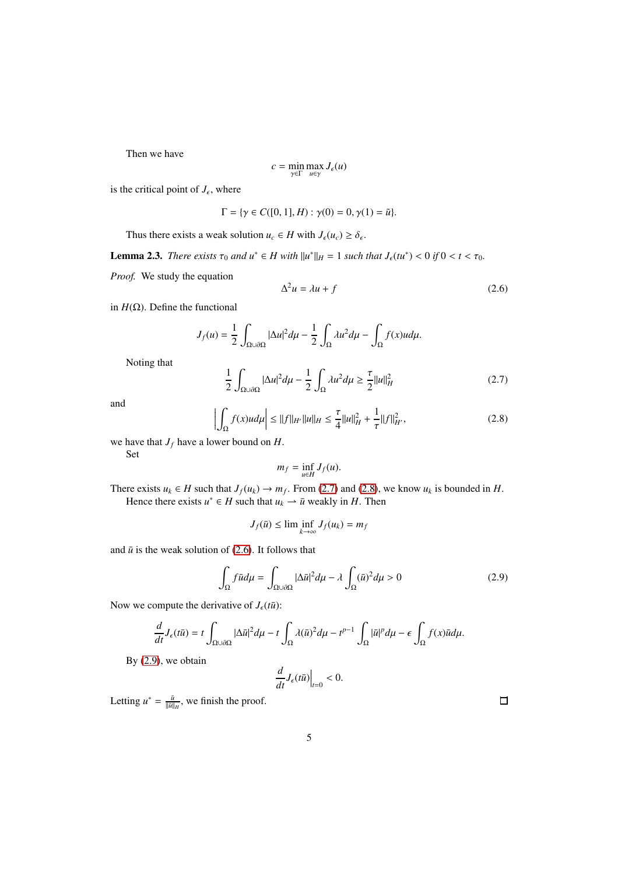Then we have

$$
c = \min_{\gamma \in \Gamma} \max_{u \in \gamma} J_{\epsilon}(u)
$$

is the critical point of  $J_{\epsilon}$ , where

$$
\Gamma = \{ \gamma \in C([0, 1], H) : \gamma(0) = 0, \gamma(1) = \tilde{u} \}.
$$

Thus there exists a weak solution  $u_c \in H$  with  $J_\epsilon(u_c) \geq \delta_\epsilon$ .

**Lemma 2.3.** *There exists*  $\tau_0$  *and*  $u^* \in H$  *with*  $||u^*||_H = 1$  *such that*  $J_{\epsilon}(tu^*) < 0$  *if*  $0 < t < \tau_0$ *.* 

*Proof.* We study the equation

<span id="page-4-2"></span>
$$
\Delta^2 u = \lambda u + f \tag{2.6}
$$

in  $H(\Omega)$ . Define the functional

$$
J_f(u) = \frac{1}{2} \int_{\Omega \cup \partial \Omega} |\Delta u|^2 d\mu - \frac{1}{2} \int_{\Omega} \lambda u^2 d\mu - \int_{\Omega} f(x) u d\mu.
$$

Noting that

<span id="page-4-0"></span>
$$
\frac{1}{2} \int_{\Omega \cup \partial \Omega} |\Delta u|^2 d\mu - \frac{1}{2} \int_{\Omega} \lambda u^2 d\mu \ge \frac{\tau}{2} ||u||_H^2
$$
 (2.7)

and 

<span id="page-4-1"></span>
$$
\left| \int_{\Omega} f(x)u d\mu \right| \le ||f||_{H'} ||u||_{H} \le \frac{\tau}{4} ||u||_{H}^{2} + \frac{1}{\tau} ||f||_{H'}^{2}, \tag{2.8}
$$

we have that  $J_f$  have a lower bound on  $H$ .

Set

$$
m_f = \inf_{u \in H} J_f(u).
$$

There exists  $u_k \in H$  such that  $J_f(u_k) \to m_f$ . From [\(2.7\)](#page-4-0) and [\(2.8\)](#page-4-1), we know  $u_k$  is bounded in *H*. Hence there exists  $u^* \in H$  such that  $u_k \to \bar{u}$  weakly in *H*. Then

$$
J_f(\bar{u}) \le \liminf_{k \to \infty} J_f(u_k) = m_f
$$

and  $\bar{u}$  is the weak solution of [\(2.6\)](#page-4-2). It follows that

<span id="page-4-3"></span>
$$
\int_{\Omega} f \bar{u} d\mu = \int_{\Omega \cup \partial \Omega} |\Delta \bar{u}|^2 d\mu - \lambda \int_{\Omega} (\bar{u})^2 d\mu > 0 \tag{2.9}
$$

Now we compute the derivative of  $J_{\epsilon}(t\bar{u})$ :

$$
\frac{d}{dt}J_{\epsilon}(t\bar{u})=t\int_{\Omega\cup\partial\Omega}|\Delta\bar{u}|^2d\mu-t\int_{\Omega}\lambda(\bar{u})^2d\mu-t^{p-1}\int_{\Omega}|\bar{u}|^p d\mu-\epsilon\int_{\Omega}f(x)\bar{u}d\mu.
$$

By [\(2.9\)](#page-4-3), we obtain

$$
\left. \frac{d}{dt} J_{\epsilon}(t\bar{u}) \right|_{t=0} < 0.
$$

Letting  $u^* = \frac{\bar{u}}{\|\bar{u}\|_H}$ , we finish the proof.

 $\Box$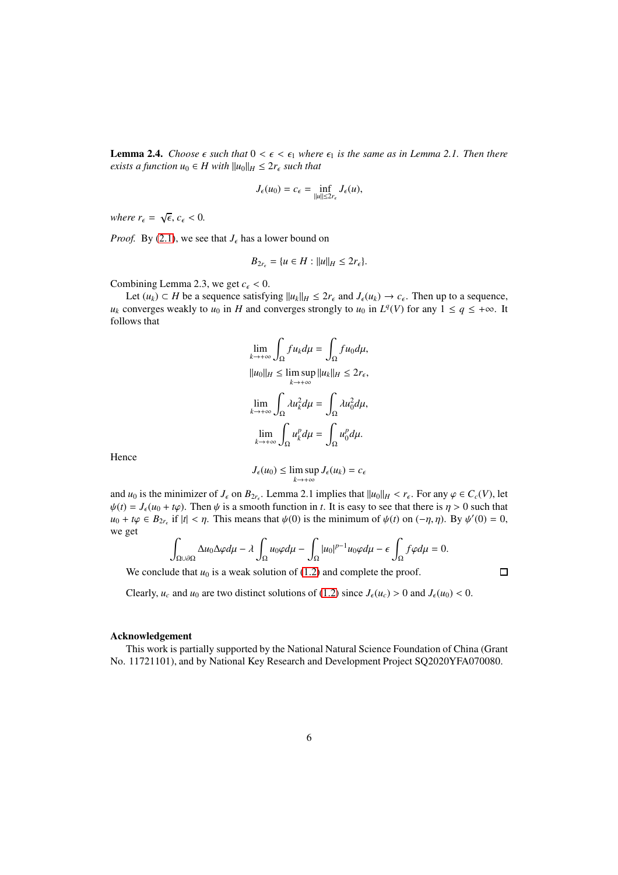**Lemma 2.4.** *Choose*  $\epsilon$  *such that*  $0 \le \epsilon \le \epsilon_1$  *where*  $\epsilon_1$  *is the same as in Lemma 2.1. Then there exists a function*  $u_0 \in H$  *with*  $||u_0||_H \leq 2r_\epsilon$  *such that* 

$$
J_{\epsilon}(u_0)=c_{\epsilon}=\inf_{\|u\|\leq 2r_{\epsilon}}J_{\epsilon}(u),
$$

*where*  $r_{\epsilon} = \sqrt{\epsilon}, c_{\epsilon} < 0$ .

*Proof.* By [\(2.1\)](#page-2-0), we see that  $J_{\epsilon}$  has a lower bound on

$$
B_{2r_{\epsilon}}=\{u\in H:\|u\|_H\leq 2r_{\epsilon}\}.
$$

Combining Lemma 2.3, we get  $c_{\epsilon}$  < 0.

Let  $(u_k) \subset H$  be a sequence satisfying  $||u_k||_H \leq 2r_\epsilon$  and  $J_\epsilon(u_k) \to c_\epsilon$ . Then up to a sequence, *u<sub>k</sub>* converges weakly to *u*<sub>0</sub> in *H* and converges strongly to *u*<sub>0</sub> in  $L^q(V)$  for any  $1 \le q \le +\infty$ . It follows that

$$
\lim_{k \to +\infty} \int_{\Omega} fu_k d\mu = \int_{\Omega} fu_0 d\mu,
$$
  

$$
||u_0||_H \le \limsup_{k \to +\infty} ||u_k||_H \le 2r_{\epsilon},
$$
  

$$
\lim_{k \to +\infty} \int_{\Omega} \lambda u_k^2 d\mu = \int_{\Omega} \lambda u_0^2 d\mu,
$$
  

$$
\lim_{k \to +\infty} \int_{\Omega} u_k^p d\mu = \int_{\Omega} u_0^p d\mu.
$$

Hence

$$
J_{\epsilon}(u_0) \le \limsup_{k \to +\infty} J_{\epsilon}(u_k) = c_{\epsilon}
$$

and  $u_0$  is the minimizer of  $J_\epsilon$  on  $B_{2r_\epsilon}$ . Lemma 2.1 implies that  $||u_0||_H < r_\epsilon$ . For any  $\varphi \in C_c(V)$ , let  $\psi(t) = J_{\epsilon}(u_0 + t\varphi)$ . Then  $\psi$  is a smooth function in *t*. It is easy to see that there is  $\eta > 0$  such that  $u_0 + t\varphi \in B_{2r_{\epsilon}}$  if  $|t| < \eta$ . This means that  $\psi(0)$  is the minimum of  $\psi(t)$  on  $(-\eta, \eta)$ . By  $\psi'(0) = 0$ , we get

$$
\int_{\Omega \cup \partial \Omega} \Delta u_0 \Delta \varphi d\mu - \lambda \int_{\Omega} u_0 \varphi d\mu - \int_{\Omega} |u_0|^{p-1} u_0 \varphi d\mu - \epsilon \int_{\Omega} f \varphi d\mu = 0.
$$

We conclude that  $u_0$  is a weak solution of  $(1.2)$  and complete the proof.

 $\Box$ 

Clearly,  $u_c$  and  $u_0$  are two distinct solutions of [\(1.2\)](#page-1-1) since  $J_\epsilon(u_c) > 0$  and  $J_\epsilon(u_0) < 0$ .

## Acknowledgement

This work is partially supported by the National Natural Science Foundation of China (Grant No. 11721101), and by National Key Research and Development Project SQ2020YFA070080.